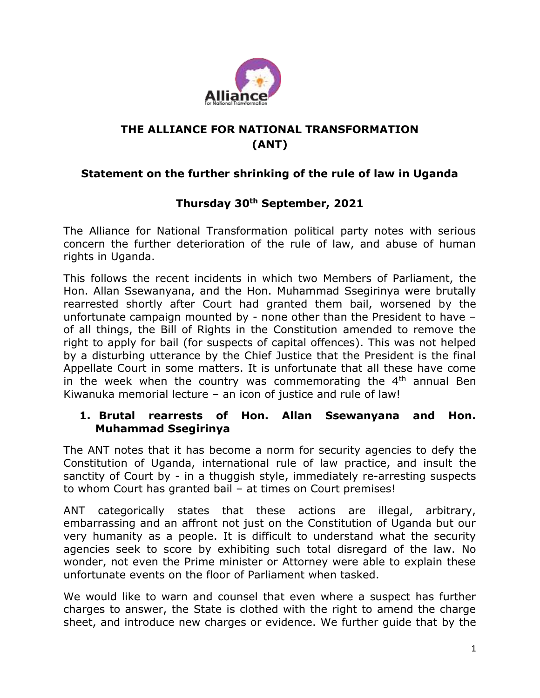

# **THE ALLIANCE FOR NATIONAL TRANSFORMATION (ANT)**

## **Statement on the further shrinking of the rule of law in Uganda**

## **Thursday 30th September, 2021**

The Alliance for National Transformation political party notes with serious concern the further deterioration of the rule of law, and abuse of human rights in Uganda.

This follows the recent incidents in which two Members of Parliament, the Hon. Allan Ssewanyana, and the Hon. Muhammad Ssegirinya were brutally rearrested shortly after Court had granted them bail, worsened by the unfortunate campaign mounted by - none other than the President to have – of all things, the Bill of Rights in the Constitution amended to remove the right to apply for bail (for suspects of capital offences). This was not helped by a disturbing utterance by the Chief Justice that the President is the final Appellate Court in some matters. It is unfortunate that all these have come in the week when the country was commemorating the  $4<sup>th</sup>$  annual Ben Kiwanuka memorial lecture – an icon of justice and rule of law!

#### **1. Brutal rearrests of Hon. Allan Ssewanyana and Hon. Muhammad Ssegirinya**

The ANT notes that it has become a norm for security agencies to defy the Constitution of Uganda, international rule of law practice, and insult the sanctity of Court by - in a thuggish style, immediately re-arresting suspects to whom Court has granted bail – at times on Court premises!

ANT categorically states that these actions are illegal, arbitrary, embarrassing and an affront not just on the Constitution of Uganda but our very humanity as a people. It is difficult to understand what the security agencies seek to score by exhibiting such total disregard of the law. No wonder, not even the Prime minister or Attorney were able to explain these unfortunate events on the floor of Parliament when tasked.

We would like to warn and counsel that even where a suspect has further charges to answer, the State is clothed with the right to amend the charge sheet, and introduce new charges or evidence. We further guide that by the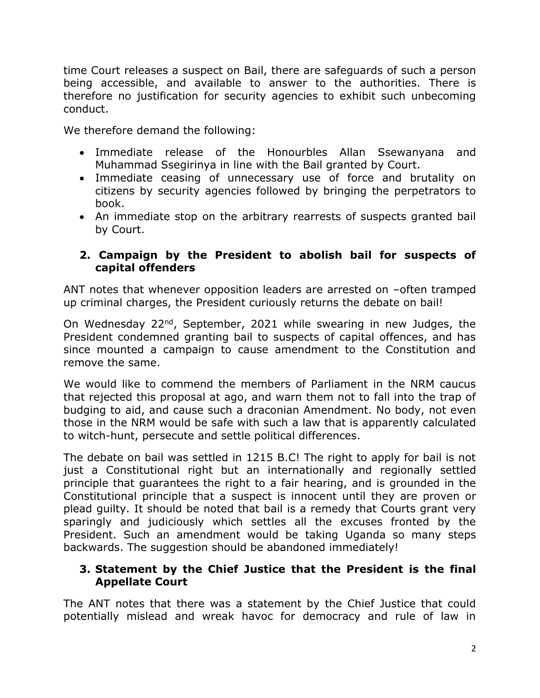time Court releases a suspect on Bail, there are safeguards of such a person being accessible, and available to answer to the authorities. There is therefore no justification for security agencies to exhibit such unbecoming conduct.

We therefore demand the following:

- Immediate release of the Honourbles Allan Ssewanyana and Muhammad Ssegirinya in line with the Bail granted by Court.
- Immediate ceasing of unnecessary use of force and brutality on citizens by security agencies followed by bringing the perpetrators to book.
- An immediate stop on the arbitrary rearrests of suspects granted bail by Court.

### **2. Campaign by the President to abolish bail for suspects of capital offenders**

ANT notes that whenever opposition leaders are arrested on –often tramped up criminal charges, the President curiously returns the debate on bail!

On Wednesday 22nd, September, 2021 while swearing in new Judges, the President condemned granting bail to suspects of capital offences, and has since mounted a campaign to cause amendment to the Constitution and remove the same.

We would like to commend the members of Parliament in the NRM caucus that rejected this proposal at ago, and warn them not to fall into the trap of budging to aid, and cause such a draconian Amendment. No body, not even those in the NRM would be safe with such a law that is apparently calculated to witch-hunt, persecute and settle political differences.

The debate on bail was settled in 1215 B.C! The right to apply for bail is not just a Constitutional right but an internationally and regionally settled principle that guarantees the right to a fair hearing, and is grounded in the Constitutional principle that a suspect is innocent until they are proven or plead guilty. It should be noted that bail is a remedy that Courts grant very sparingly and judiciously which settles all the excuses fronted by the President. Such an amendment would be taking Uganda so many steps backwards. The suggestion should be abandoned immediately!

#### **3. Statement by the Chief Justice that the President is the final Appellate Court**

The ANT notes that there was a statement by the Chief Justice that could potentially mislead and wreak havoc for democracy and rule of law in